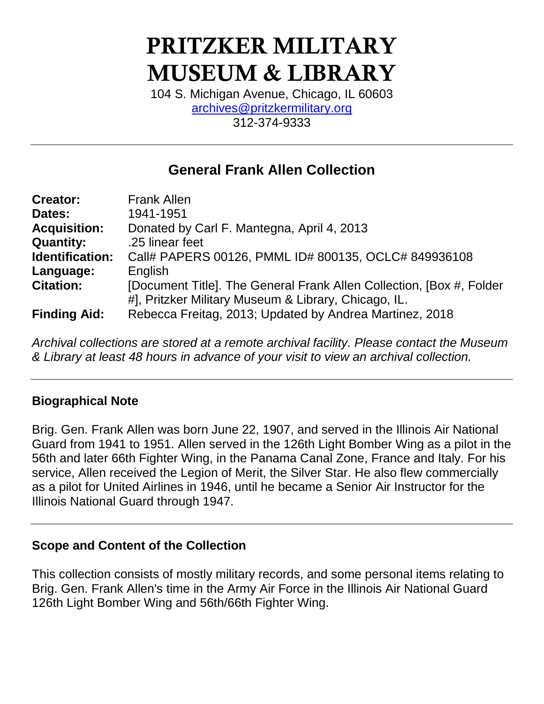# **PRITZKER MILITARY MUSEUM & LIBRARY**

104 S. Michigan Avenue, Chicago, IL 60603 [archives@pritzkermilitary.org](mailto:archives@pritzkermilitary.org) 312-374-9333

# **General Frank Allen Collection**

| <b>Creator:</b>     | <b>Frank Allen</b>                                                   |
|---------------------|----------------------------------------------------------------------|
| Dates:              | 1941-1951                                                            |
| <b>Acquisition:</b> | Donated by Carl F. Mantegna, April 4, 2013                           |
| <b>Quantity:</b>    | .25 linear feet                                                      |
| Identification:     | Call# PAPERS 00126, PMML ID# 800135, OCLC# 849936108                 |
| Language:           | English                                                              |
| <b>Citation:</b>    | [Document Title]. The General Frank Allen Collection, [Box #, Folder |
|                     | #], Pritzker Military Museum & Library, Chicago, IL.                 |
| <b>Finding Aid:</b> | Rebecca Freitag, 2013; Updated by Andrea Martinez, 2018              |

*Archival collections are stored at a remote archival facility. Please contact the Museum & Library at least 48 hours in advance of your visit to view an archival collection.*

## **Biographical Note**

Brig. Gen. Frank Allen was born June 22, 1907, and served in the Illinois Air National Guard from 1941 to 1951. Allen served in the 126th Light Bomber Wing as a pilot in the 56th and later 66th Fighter Wing, in the Panama Canal Zone, France and Italy. For his service, Allen received the Legion of Merit, the Silver Star. He also flew commercially as a pilot for United Airlines in 1946, until he became a Senior Air Instructor for the Illinois National Guard through 1947.

#### **Scope and Content of the Collection**

This collection consists of mostly military records, and some personal items relating to Brig. Gen. Frank Allen's time in the Army Air Force in the Illinois Air National Guard 126th Light Bomber Wing and 56th/66th Fighter Wing.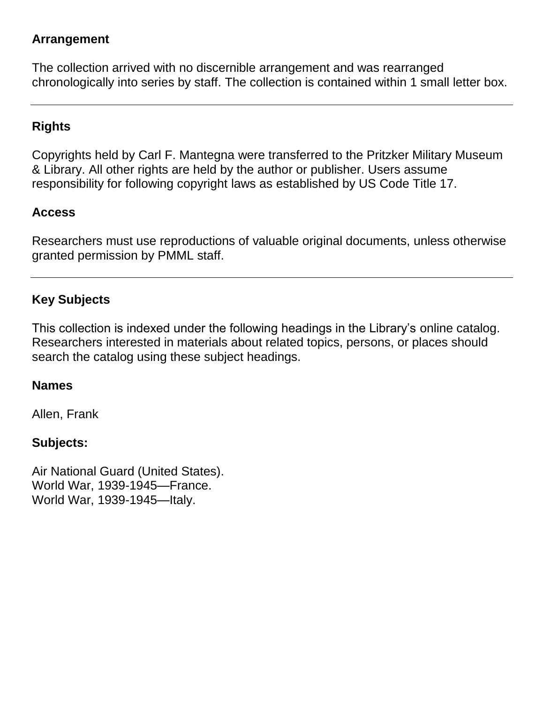#### **Arrangement**

The collection arrived with no discernible arrangement and was rearranged chronologically into series by staff. The collection is contained within 1 small letter box.

## **Rights**

Copyrights held by Carl F. Mantegna were transferred to the Pritzker Military Museum & Library. All other rights are held by the author or publisher. Users assume responsibility for following copyright laws as established by US Code Title 17.

## **Access**

Researchers must use reproductions of valuable original documents, unless otherwise granted permission by PMML staff.

## **Key Subjects**

This collection is indexed under the following headings in the Library's online catalog. Researchers interested in materials about related topics, persons, or places should search the catalog using these subject headings.

## **Names**

Allen, Frank

## **Subjects:**

Air National Guard (United States). World War, 1939-1945—France. World War, 1939-1945—Italy.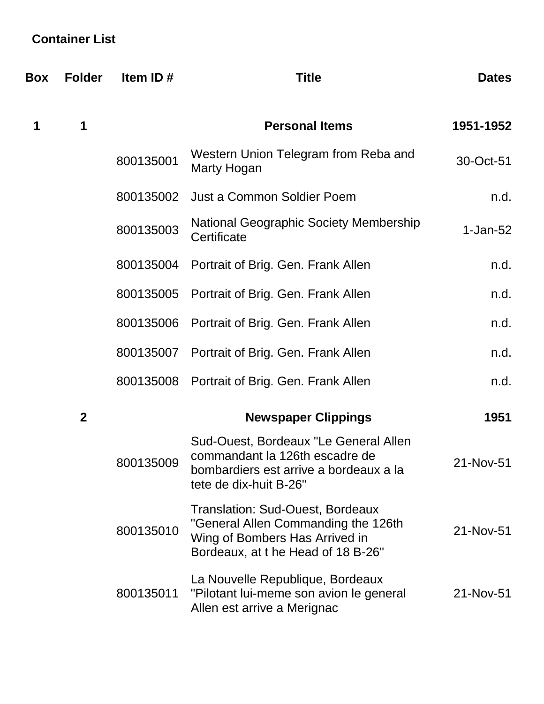# **Container List**

| Box | <b>Folder</b>    | Item ID#  | <b>Title</b>                                                                                                                                           | <b>Dates</b> |
|-----|------------------|-----------|--------------------------------------------------------------------------------------------------------------------------------------------------------|--------------|
| 1   | 1                |           | <b>Personal Items</b>                                                                                                                                  | 1951-1952    |
|     |                  | 800135001 | Western Union Telegram from Reba and<br>Marty Hogan                                                                                                    | 30-Oct-51    |
|     |                  | 800135002 | <b>Just a Common Soldier Poem</b>                                                                                                                      | n.d.         |
|     |                  | 800135003 | National Geographic Society Membership<br>Certificate                                                                                                  | $1-Jan-52$   |
|     |                  | 800135004 | Portrait of Brig. Gen. Frank Allen                                                                                                                     | n.d.         |
|     |                  | 800135005 | Portrait of Brig. Gen. Frank Allen                                                                                                                     | n.d.         |
|     |                  | 800135006 | Portrait of Brig. Gen. Frank Allen                                                                                                                     | n.d.         |
|     |                  | 800135007 | Portrait of Brig. Gen. Frank Allen                                                                                                                     | n.d.         |
|     |                  | 800135008 | Portrait of Brig. Gen. Frank Allen                                                                                                                     | n.d.         |
|     | $\boldsymbol{2}$ |           | <b>Newspaper Clippings</b>                                                                                                                             | 1951         |
|     |                  | 800135009 | Sud-Ouest, Bordeaux "Le General Allen<br>commandant la 126th escadre de<br>bombardiers est arrive a bordeaux a la<br>tete de dix-huit B-26"            | 21-Nov-51    |
|     |                  | 800135010 | <b>Translation: Sud-Ouest, Bordeaux</b><br>"General Allen Commanding the 126th<br>Wing of Bombers Has Arrived in<br>Bordeaux, at t he Head of 18 B-26" | 21-Nov-51    |
|     |                  | 800135011 | La Nouvelle Republique, Bordeaux<br>"Pilotant lui-meme son avion le general<br>Allen est arrive a Merignac                                             | 21-Nov-51    |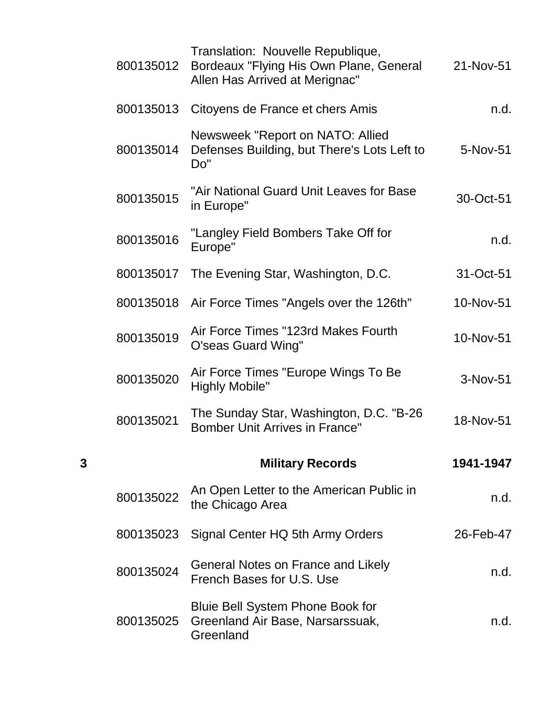|   | 800135012 | Translation: Nouvelle Republique,<br>Bordeaux "Flying His Own Plane, General<br>Allen Has Arrived at Merignac" | 21-Nov-51 |
|---|-----------|----------------------------------------------------------------------------------------------------------------|-----------|
|   | 800135013 | Citoyens de France et chers Amis                                                                               | n.d.      |
|   | 800135014 | Newsweek "Report on NATO: Allied<br>Defenses Building, but There's Lots Left to<br>Do"                         | 5-Nov-51  |
|   | 800135015 | "Air National Guard Unit Leaves for Base<br>in Europe"                                                         | 30-Oct-51 |
|   | 800135016 | "Langley Field Bombers Take Off for<br>Europe"                                                                 | n.d.      |
|   | 800135017 | The Evening Star, Washington, D.C.                                                                             | 31-Oct-51 |
|   | 800135018 | Air Force Times "Angels over the 126th"                                                                        | 10-Nov-51 |
|   | 800135019 | Air Force Times "123rd Makes Fourth<br>O'seas Guard Wing"                                                      | 10-Nov-51 |
|   | 800135020 | Air Force Times "Europe Wings To Be<br><b>Highly Mobile"</b>                                                   | 3-Nov-51  |
|   | 800135021 | The Sunday Star, Washington, D.C. "B-26<br><b>Bomber Unit Arrives in France"</b>                               | 18-Nov-51 |
| 3 |           | <b>Military Records</b>                                                                                        | 1941-1947 |
|   | 800135022 | An Open Letter to the American Public in<br>the Chicago Area                                                   | n.d.      |
|   | 800135023 | Signal Center HQ 5th Army Orders                                                                               | 26-Feb-47 |
|   | 800135024 | General Notes on France and Likely<br>French Bases for U.S. Use                                                | n.d.      |
|   | 800135025 | <b>Bluie Bell System Phone Book for</b><br>Greenland Air Base, Narsarssuak,<br>Greenland                       | n.d.      |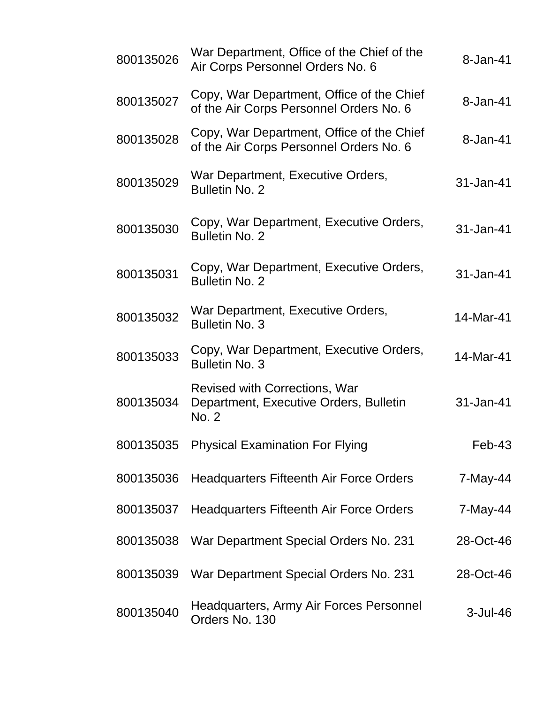| 800135026 | War Department, Office of the Chief of the<br>Air Corps Personnel Orders No. 6          | 8-Jan-41  |
|-----------|-----------------------------------------------------------------------------------------|-----------|
| 800135027 | Copy, War Department, Office of the Chief<br>of the Air Corps Personnel Orders No. 6    | 8-Jan-41  |
| 800135028 | Copy, War Department, Office of the Chief<br>of the Air Corps Personnel Orders No. 6    | 8-Jan-41  |
| 800135029 | War Department, Executive Orders,<br><b>Bulletin No. 2</b>                              | 31-Jan-41 |
| 800135030 | Copy, War Department, Executive Orders,<br><b>Bulletin No. 2</b>                        | 31-Jan-41 |
| 800135031 | Copy, War Department, Executive Orders,<br><b>Bulletin No. 2</b>                        | 31-Jan-41 |
| 800135032 | War Department, Executive Orders,<br><b>Bulletin No. 3</b>                              | 14-Mar-41 |
| 800135033 | Copy, War Department, Executive Orders,<br><b>Bulletin No. 3</b>                        | 14-Mar-41 |
| 800135034 | <b>Revised with Corrections, War</b><br>Department, Executive Orders, Bulletin<br>No. 2 | 31-Jan-41 |
|           | 800135035 Physical Examination For Flying                                               | Feb-43    |
| 800135036 | <b>Headquarters Fifteenth Air Force Orders</b>                                          | 7-May-44  |
| 800135037 | <b>Headquarters Fifteenth Air Force Orders</b>                                          | 7-May-44  |
| 800135038 | War Department Special Orders No. 231                                                   | 28-Oct-46 |
| 800135039 | War Department Special Orders No. 231                                                   | 28-Oct-46 |
| 800135040 | Headquarters, Army Air Forces Personnel<br>Orders No. 130                               | 3-Jul-46  |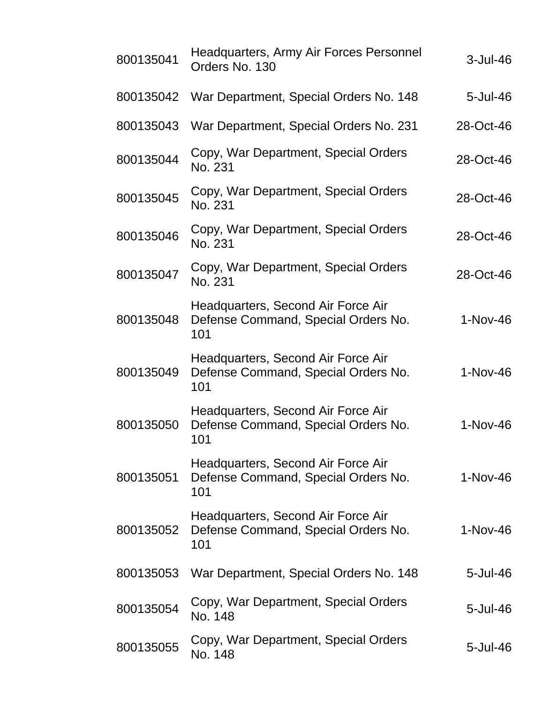| 800135041 | Headquarters, Army Air Forces Personnel<br>Orders No. 130                        | 3-Jul-46   |
|-----------|----------------------------------------------------------------------------------|------------|
| 800135042 | War Department, Special Orders No. 148                                           | 5-Jul-46   |
| 800135043 | War Department, Special Orders No. 231                                           | 28-Oct-46  |
| 800135044 | Copy, War Department, Special Orders<br>No. 231                                  | 28-Oct-46  |
| 800135045 | Copy, War Department, Special Orders<br>No. 231                                  | 28-Oct-46  |
| 800135046 | Copy, War Department, Special Orders<br>No. 231                                  | 28-Oct-46  |
| 800135047 | Copy, War Department, Special Orders<br>No. 231                                  | 28-Oct-46  |
| 800135048 | Headquarters, Second Air Force Air<br>Defense Command, Special Orders No.<br>101 | $1-Nov-46$ |
| 800135049 | Headquarters, Second Air Force Air<br>Defense Command, Special Orders No.<br>101 | $1-Nov-46$ |
| 800135050 | Headquarters, Second Air Force Air<br>Defense Command, Special Orders No.<br>101 | $1-Nov-46$ |
| 800135051 | Headquarters, Second Air Force Air<br>Defense Command, Special Orders No.<br>101 | $1-Nov-46$ |
| 800135052 | Headquarters, Second Air Force Air<br>Defense Command, Special Orders No.<br>101 | 1-Nov-46   |
| 800135053 | War Department, Special Orders No. 148                                           | 5-Jul-46   |
| 800135054 | Copy, War Department, Special Orders<br>No. 148                                  | 5-Jul-46   |
| 800135055 | Copy, War Department, Special Orders<br>No. 148                                  | 5-Jul-46   |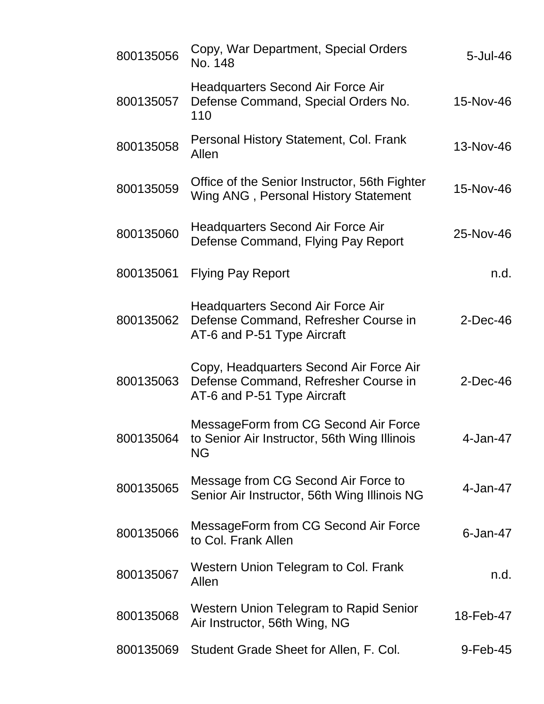| 800135056 | Copy, War Department, Special Orders<br>No. 148                                                                 | $5 -$ Jul $-46$ |
|-----------|-----------------------------------------------------------------------------------------------------------------|-----------------|
| 800135057 | <b>Headquarters Second Air Force Air</b><br>Defense Command, Special Orders No.<br>110                          | 15-Nov-46       |
| 800135058 | Personal History Statement, Col. Frank<br>Allen                                                                 | 13-Nov-46       |
| 800135059 | Office of the Senior Instructor, 56th Fighter<br>Wing ANG, Personal History Statement                           | 15-Nov-46       |
| 800135060 | <b>Headquarters Second Air Force Air</b><br>Defense Command, Flying Pay Report                                  | 25-Nov-46       |
| 800135061 | <b>Flying Pay Report</b>                                                                                        | n.d.            |
| 800135062 | <b>Headquarters Second Air Force Air</b><br>Defense Command, Refresher Course in<br>AT-6 and P-51 Type Aircraft | $2$ -Dec-46     |
| 800135063 | Copy, Headquarters Second Air Force Air<br>Defense Command, Refresher Course in<br>AT-6 and P-51 Type Aircraft  | $2$ -Dec-46     |
| 800135064 | MessageForm from CG Second Air Force<br>to Senior Air Instructor, 56th Wing Illinois<br><b>NG</b>               | 4-Jan-47        |
| 800135065 | Message from CG Second Air Force to<br>Senior Air Instructor, 56th Wing Illinois NG                             | 4-Jan-47        |
| 800135066 | MessageForm from CG Second Air Force<br>to Col. Frank Allen                                                     | $6$ -Jan-47     |
| 800135067 | Western Union Telegram to Col. Frank<br>Allen                                                                   | n.d.            |
| 800135068 | Western Union Telegram to Rapid Senior<br>Air Instructor, 56th Wing, NG                                         | 18-Feb-47       |
| 800135069 | Student Grade Sheet for Allen, F. Col.                                                                          | 9-Feb-45        |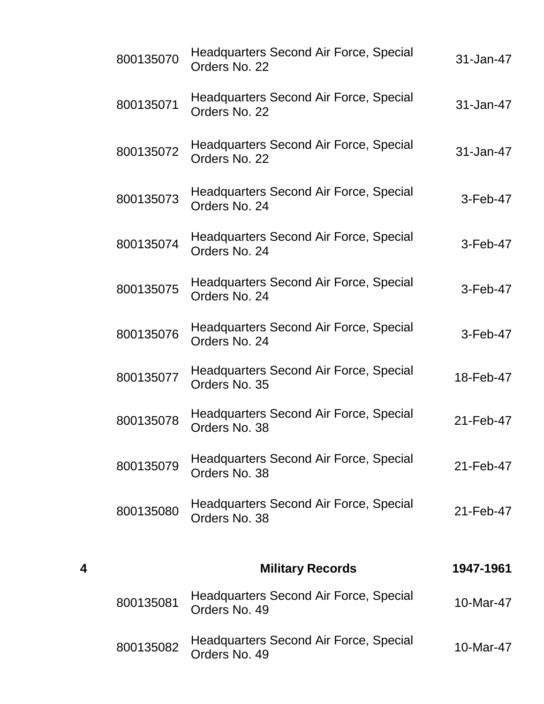| 31-Jan-47  | Headquarters Second Air Force, Special<br>Orders No. 22        | 800135070 |
|------------|----------------------------------------------------------------|-----------|
| 31-Jan-47  | <b>Headquarters Second Air Force, Special</b><br>Orders No. 22 | 800135071 |
| 31-Jan-47  | Headquarters Second Air Force, Special<br>Orders No. 22        | 800135072 |
| $3-Feb-47$ | <b>Headquarters Second Air Force, Special</b><br>Orders No. 24 | 800135073 |
| $3-Feb-47$ | <b>Headquarters Second Air Force, Special</b><br>Orders No. 24 | 800135074 |
| $3-Feb-47$ | <b>Headquarters Second Air Force, Special</b><br>Orders No. 24 | 800135075 |
| $3-Feb-47$ | Headquarters Second Air Force, Special<br>Orders No. 24        | 800135076 |
| 18-Feb-47  | Headquarters Second Air Force, Special<br>Orders No. 35        | 800135077 |
| 21-Feb-47  | <b>Headquarters Second Air Force, Special</b><br>Orders No. 38 | 800135078 |
| 21-Feb-47  | <b>Headquarters Second Air Force, Special</b><br>Orders No. 38 | 800135079 |
| 21-Feb-47  | <b>Headquarters Second Air Force, Special</b><br>Orders No. 38 | 800135080 |
|            |                                                                |           |
| 1947-1961  | <b>Military Records</b>                                        | 4         |
| 10-Mar-47  | Headquarters Second Air Force, Special<br>Orders No. 49        | 800135081 |
| 10-Mar-47  | Headquarters Second Air Force, Special<br>Orders No. 49        | 800135082 |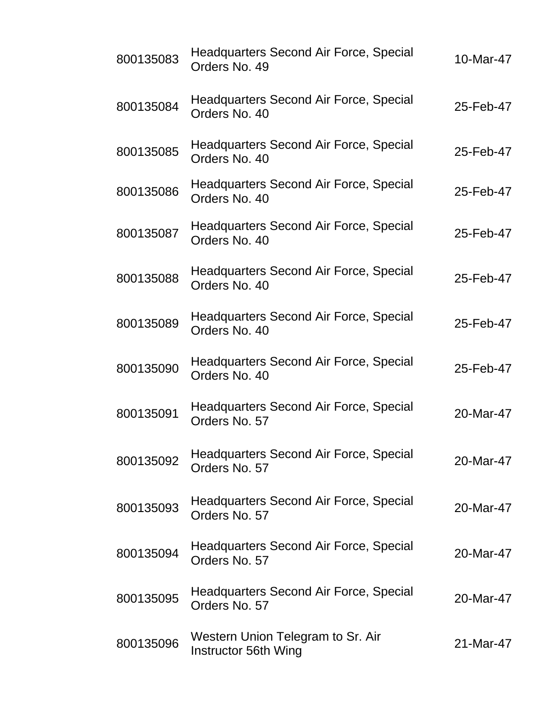| 800135083 | Headquarters Second Air Force, Special<br>Orders No. 49        | 10-Mar-47 |
|-----------|----------------------------------------------------------------|-----------|
| 800135084 | <b>Headquarters Second Air Force, Special</b><br>Orders No. 40 | 25-Feb-47 |
| 800135085 | Headquarters Second Air Force, Special<br>Orders No. 40        | 25-Feb-47 |
| 800135086 | <b>Headquarters Second Air Force, Special</b><br>Orders No. 40 | 25-Feb-47 |
| 800135087 | Headquarters Second Air Force, Special<br>Orders No. 40        | 25-Feb-47 |
| 800135088 | <b>Headquarters Second Air Force, Special</b><br>Orders No. 40 | 25-Feb-47 |
| 800135089 | Headquarters Second Air Force, Special<br>Orders No. 40        | 25-Feb-47 |
| 800135090 | <b>Headquarters Second Air Force, Special</b><br>Orders No. 40 | 25-Feb-47 |
| 800135091 | <b>Headquarters Second Air Force, Special</b><br>Orders No. 57 | 20-Mar-47 |
| 800135092 | Headquarters Second Air Force, Special<br>Orders No. 57        | 20-Mar-47 |
| 800135093 | <b>Headquarters Second Air Force, Special</b><br>Orders No. 57 | 20-Mar-47 |
| 800135094 | <b>Headquarters Second Air Force, Special</b><br>Orders No. 57 | 20-Mar-47 |
| 800135095 | Headquarters Second Air Force, Special<br>Orders No. 57        | 20-Mar-47 |
| 800135096 | Western Union Telegram to Sr. Air<br>Instructor 56th Wing      | 21-Mar-47 |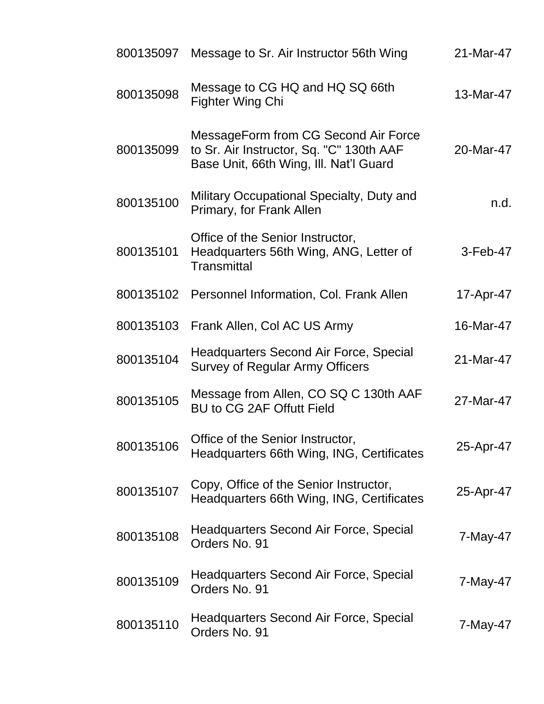|           | 800135097 Message to Sr. Air Instructor 56th Wing                                                                          | 21-Mar-47 |
|-----------|----------------------------------------------------------------------------------------------------------------------------|-----------|
| 800135098 | Message to CG HQ and HQ SQ 66th<br><b>Fighter Wing Chi</b>                                                                 | 13-Mar-47 |
| 800135099 | MessageForm from CG Second Air Force<br>to Sr. Air Instructor, Sq. "C" 130th AAF<br>Base Unit, 66th Wing, Ill. Nat'l Guard | 20-Mar-47 |
| 800135100 | Military Occupational Specialty, Duty and<br>Primary, for Frank Allen                                                      | n.d.      |
| 800135101 | Office of the Senior Instructor,<br>Headquarters 56th Wing, ANG, Letter of<br><b>Transmittal</b>                           | 3-Feb-47  |
| 800135102 | Personnel Information, Col. Frank Allen                                                                                    | 17-Apr-47 |
| 800135103 | Frank Allen, Col AC US Army                                                                                                | 16-Mar-47 |
| 800135104 | <b>Headquarters Second Air Force, Special</b><br><b>Survey of Regular Army Officers</b>                                    | 21-Mar-47 |
| 800135105 | Message from Allen, CO SQ C 130th AAF<br><b>BU to CG 2AF Offutt Field</b>                                                  | 27-Mar-47 |
| 800135106 | Office of the Senior Instructor,<br>Headquarters 66th Wing, ING, Certificates                                              | 25-Apr-47 |
| 800135107 | Copy, Office of the Senior Instructor,<br>Headquarters 66th Wing, ING, Certificates                                        | 25-Apr-47 |
| 800135108 | Headquarters Second Air Force, Special<br>Orders No. 91                                                                    | 7-May-47  |
| 800135109 | Headquarters Second Air Force, Special<br>Orders No. 91                                                                    | 7-May-47  |
| 800135110 | Headquarters Second Air Force, Special<br>Orders No. 91                                                                    | 7-May-47  |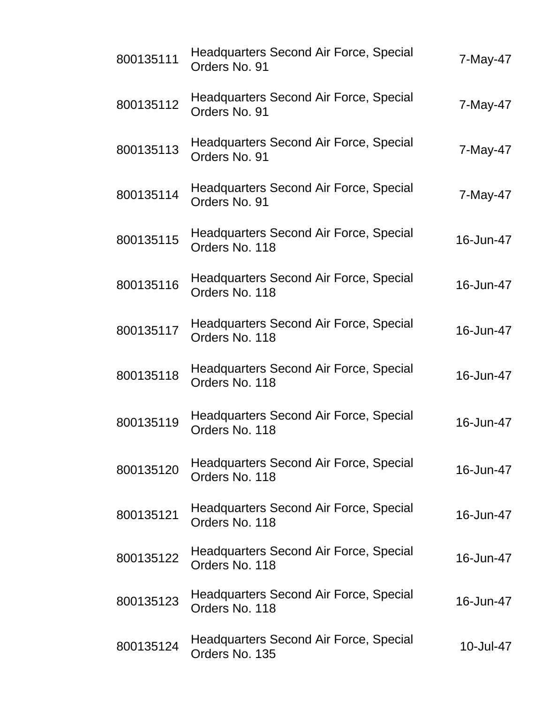| 800135111 | <b>Headquarters Second Air Force, Special</b><br>Orders No. 91  | 7-May-47  |
|-----------|-----------------------------------------------------------------|-----------|
| 800135112 | <b>Headquarters Second Air Force, Special</b><br>Orders No. 91  | 7-May-47  |
| 800135113 | <b>Headquarters Second Air Force, Special</b><br>Orders No. 91  | 7-May-47  |
| 800135114 | Headquarters Second Air Force, Special<br>Orders No. 91         | 7-May-47  |
| 800135115 | <b>Headquarters Second Air Force, Special</b><br>Orders No. 118 | 16-Jun-47 |
| 800135116 | <b>Headquarters Second Air Force, Special</b><br>Orders No. 118 | 16-Jun-47 |
| 800135117 | <b>Headquarters Second Air Force, Special</b><br>Orders No. 118 | 16-Jun-47 |
| 800135118 | Headquarters Second Air Force, Special<br>Orders No. 118        | 16-Jun-47 |
| 800135119 | Headquarters Second Air Force, Special<br>Orders No. 118        | 16-Jun-47 |
| 800135120 | Headquarters Second Air Force, Special<br>Orders No. 118        | 16-Jun-47 |
| 800135121 | <b>Headquarters Second Air Force, Special</b><br>Orders No. 118 | 16-Jun-47 |
| 800135122 | Headquarters Second Air Force, Special<br>Orders No. 118        | 16-Jun-47 |
| 800135123 | <b>Headquarters Second Air Force, Special</b><br>Orders No. 118 | 16-Jun-47 |
| 800135124 | Headquarters Second Air Force, Special<br>Orders No. 135        | 10-Jul-47 |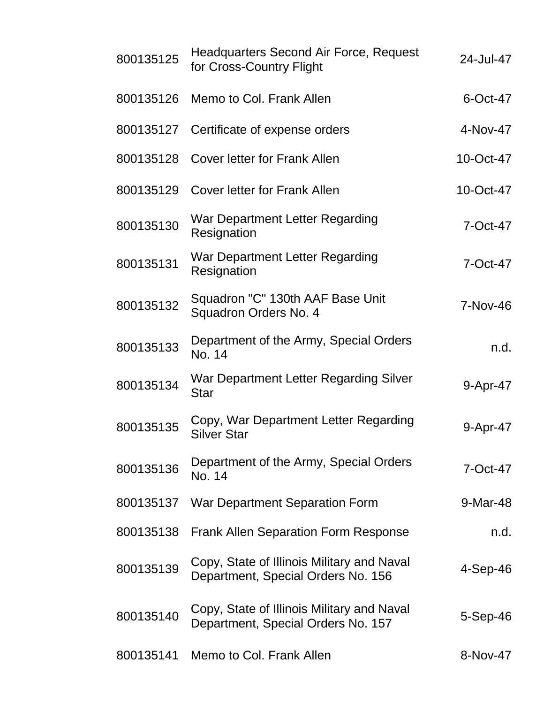| 800135125 | <b>Headquarters Second Air Force, Request</b><br>for Cross-Country Flight        | 24-Jul-47      |
|-----------|----------------------------------------------------------------------------------|----------------|
| 800135126 | Memo to Col. Frank Allen                                                         | 6-Oct-47       |
| 800135127 | Certificate of expense orders                                                    | 4-Nov-47       |
| 800135128 | <b>Cover letter for Frank Allen</b>                                              | 10-Oct-47      |
| 800135129 | <b>Cover letter for Frank Allen</b>                                              | 10-Oct-47      |
| 800135130 | War Department Letter Regarding<br>Resignation                                   | 7-Oct-47       |
| 800135131 | War Department Letter Regarding<br>Resignation                                   | 7-Oct-47       |
| 800135132 | Squadron "C" 130th AAF Base Unit<br>Squadron Orders No. 4                        | 7-Nov-46       |
| 800135133 | Department of the Army, Special Orders<br>No. 14                                 | n.d.           |
| 800135134 | War Department Letter Regarding Silver<br><b>Star</b>                            | 9-Apr-47       |
| 800135135 | Copy, War Department Letter Regarding<br><b>Silver Star</b>                      | 9-Apr-47       |
| 800135136 | Department of the Army, Special Orders<br>No. 14                                 | 7-Oct-47       |
| 800135137 | War Department Separation Form                                                   | 9-Mar-48       |
| 800135138 | <b>Frank Allen Separation Form Response</b>                                      | n.d.           |
| 800135139 | Copy, State of Illinois Military and Naval<br>Department, Special Orders No. 156 | $4-Sep-46$     |
| 800135140 | Copy, State of Illinois Military and Naval<br>Department, Special Orders No. 157 | $5-$ Sep $-46$ |
| 800135141 | Memo to Col. Frank Allen                                                         | 8-Nov-47       |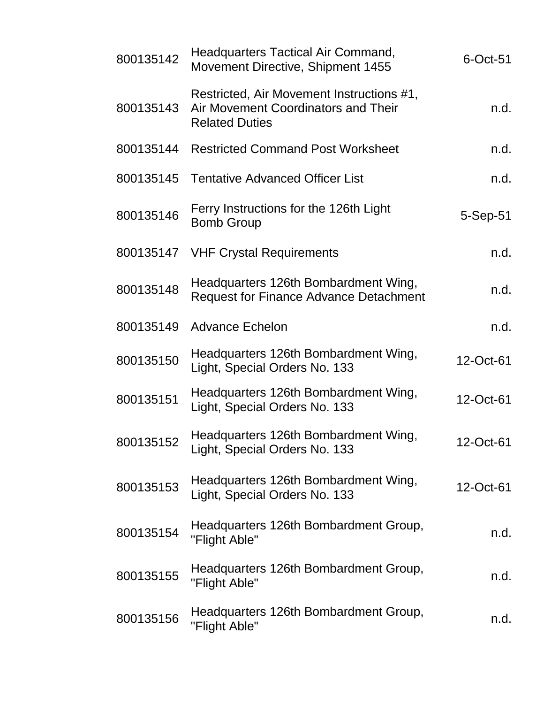| 800135142 | Headquarters Tactical Air Command,<br>Movement Directive, Shipment 1455                                   | 6-Oct-51  |
|-----------|-----------------------------------------------------------------------------------------------------------|-----------|
| 800135143 | Restricted, Air Movement Instructions #1,<br>Air Movement Coordinators and Their<br><b>Related Duties</b> | n.d.      |
| 800135144 | <b>Restricted Command Post Worksheet</b>                                                                  | n.d.      |
| 800135145 | <b>Tentative Advanced Officer List</b>                                                                    | n.d.      |
| 800135146 | Ferry Instructions for the 126th Light<br><b>Bomb Group</b>                                               | 5-Sep-51  |
|           | 800135147 VHF Crystal Requirements                                                                        | n.d.      |
| 800135148 | Headquarters 126th Bombardment Wing,<br><b>Request for Finance Advance Detachment</b>                     | n.d.      |
| 800135149 | <b>Advance Echelon</b>                                                                                    | n.d.      |
| 800135150 | Headquarters 126th Bombardment Wing,<br>Light, Special Orders No. 133                                     | 12-Oct-61 |
| 800135151 | Headquarters 126th Bombardment Wing,<br>Light, Special Orders No. 133                                     | 12-Oct-61 |
| 800135152 | Headquarters 126th Bombardment Wing,<br>Light, Special Orders No. 133                                     | 12-Oct-61 |
| 800135153 | Headquarters 126th Bombardment Wing,<br>Light, Special Orders No. 133                                     | 12-Oct-61 |
| 800135154 | Headquarters 126th Bombardment Group,<br>"Flight Able"                                                    | n.d.      |
| 800135155 | Headquarters 126th Bombardment Group,<br>"Flight Able"                                                    | n.d.      |
| 800135156 | Headquarters 126th Bombardment Group,<br>"Flight Able"                                                    | n.d.      |